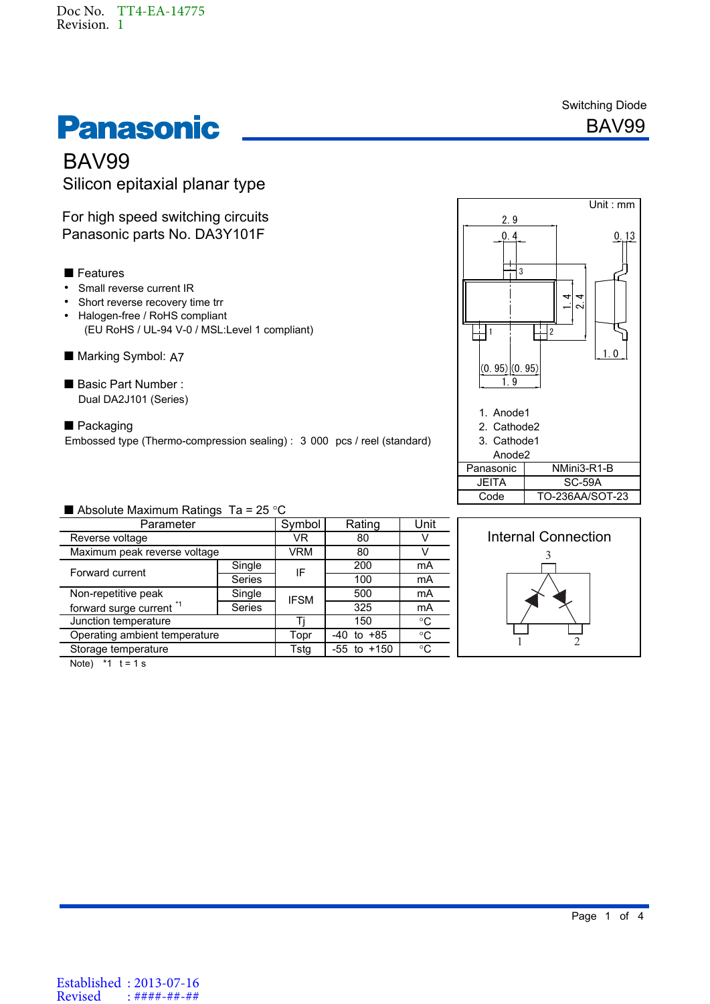

Switching Diode



# BAV99 Silicon epitaxial planar type

For high speed switching circuits Panasonic parts No. DA3Y101F

## **Features**

- Small reverse current IR
- Short reverse recovery time trr
- Halogen-free / RoHS compliant (EU RoHS / UL-94 V-0 / MSL:Level 1 compliant)
- Marking Symbol: A7
- Basic Part Number : Dual DA2J101 (Series)
- Embossed type (Thermo-compression sealing) : 3 000 pcs / reel (standard) ■ Packaging



## Absolute Maximum Ratings Ta =  $25^{\circ}$ C

| Parameter                           |               | Symbol      | Rating              | Unit        |
|-------------------------------------|---------------|-------------|---------------------|-------------|
| Reverse voltage                     |               | VR          | 80                  |             |
| Maximum peak reverse voltage        |               | VRM         | 80                  |             |
| Forward current                     | Single        | IF          | 200                 | mA          |
|                                     | <b>Series</b> |             | 100                 | mA          |
| Non-repetitive peak                 | Single        | <b>IFSM</b> | 500                 | mA          |
| forward surge current <sup>*1</sup> | <b>Series</b> |             | 325                 | mA          |
| Junction temperature                |               |             | 150                 | $^{\circ}C$ |
| Operating ambient temperature       |               | Topr        | +85<br>-40<br>to    | $^{\circ}C$ |
| Storage temperature                 |               | Tstg        | $+150$<br>-55<br>to | $^{\circ}C$ |
|                                     |               |             |                     |             |



Note)  $*1$  t = 1 s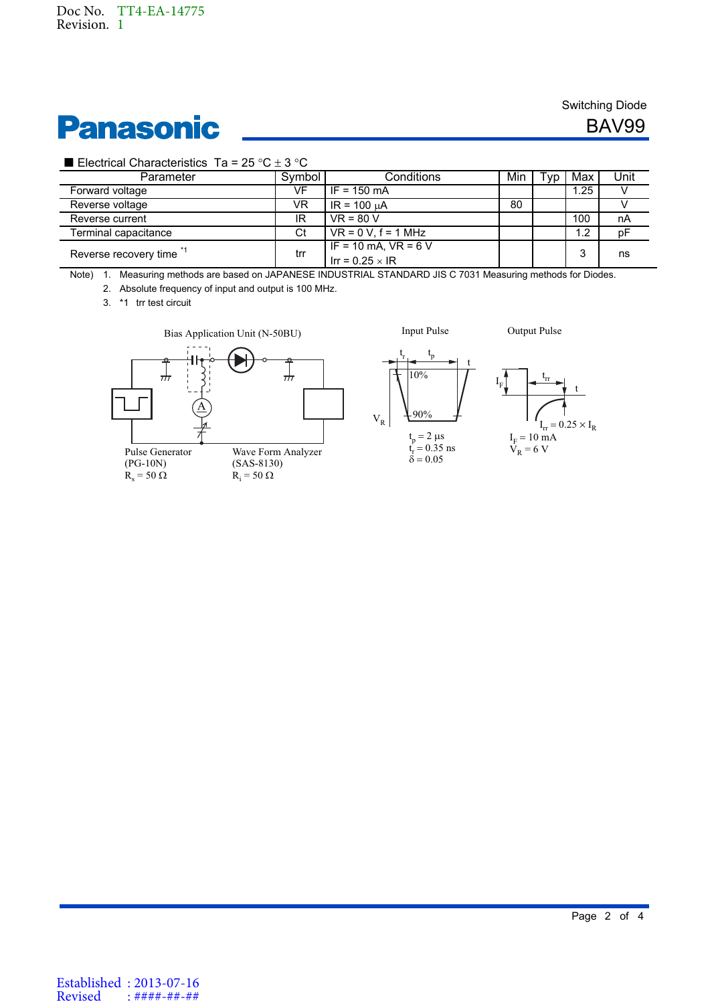# **Panasonic**

## Switching Diode

BAV99

### Electrical Characteristics Ta =  $25 \text{ }^{\circ}C \pm 3 \text{ }^{\circ}C$

| Parameter             | Symbol | Conditions               | Min | $\mathsf{rvn}$ | Max  | Unit |
|-----------------------|--------|--------------------------|-----|----------------|------|------|
| Forward voltage       | VF     | $IF = 150 mA$            |     |                | 1.25 |      |
| Reverse voltage       | VR     | $IR = 100 \mu A$         | 80  |                |      |      |
| Reverse current       | IR     | $VR = 80 V$              |     |                | 100  | nA   |
| Terminal capacitance  | Ct     | $VR = 0 V$ . $f = 1 MHz$ |     |                | 1.2  | рF   |
| Reverse recovery time | trr    | IF = 10 mA, $VR = 6 V$   |     |                | ົ    | ns   |
|                       |        | Irr = $0.25 \times IR$   |     |                |      |      |

Note) 1. Measuring methods are based on JAPANESE INDUSTRIAL STANDARD JIS C 7031 Measuring methods for Diodes.

2. Absolute frequency of input and output is 100 MHz.

3. \*1 trr test circuit





 $\rm V_R$ 

Input Pulse Output Pulse



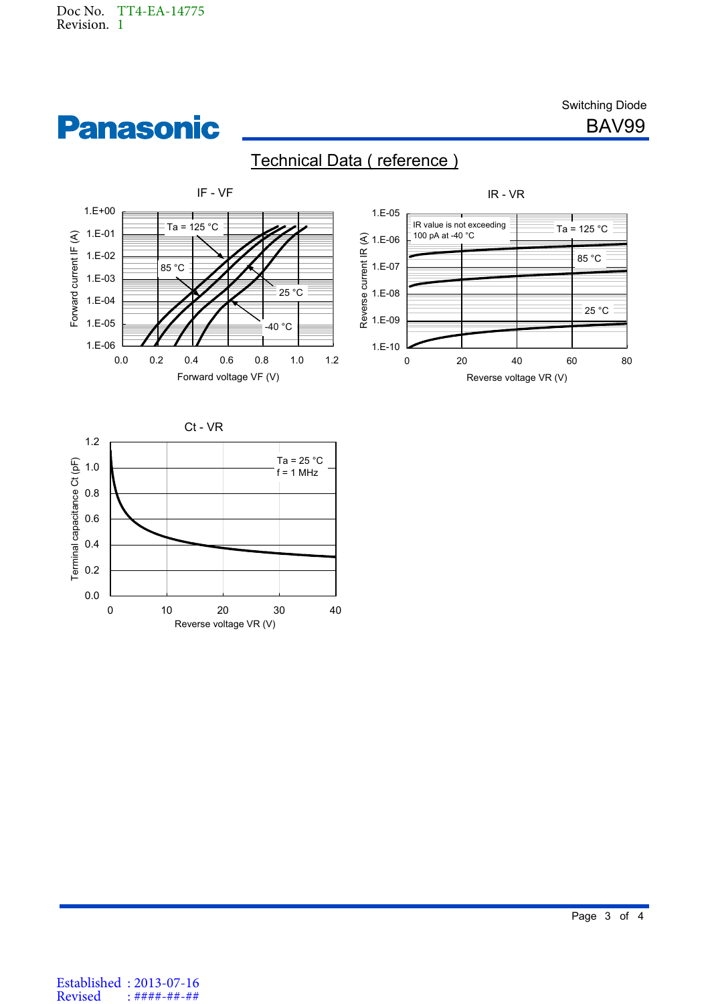**Panasonic** 

Switching Diode

BAV99







Established : 2013-07-16 Revised : ####-##-##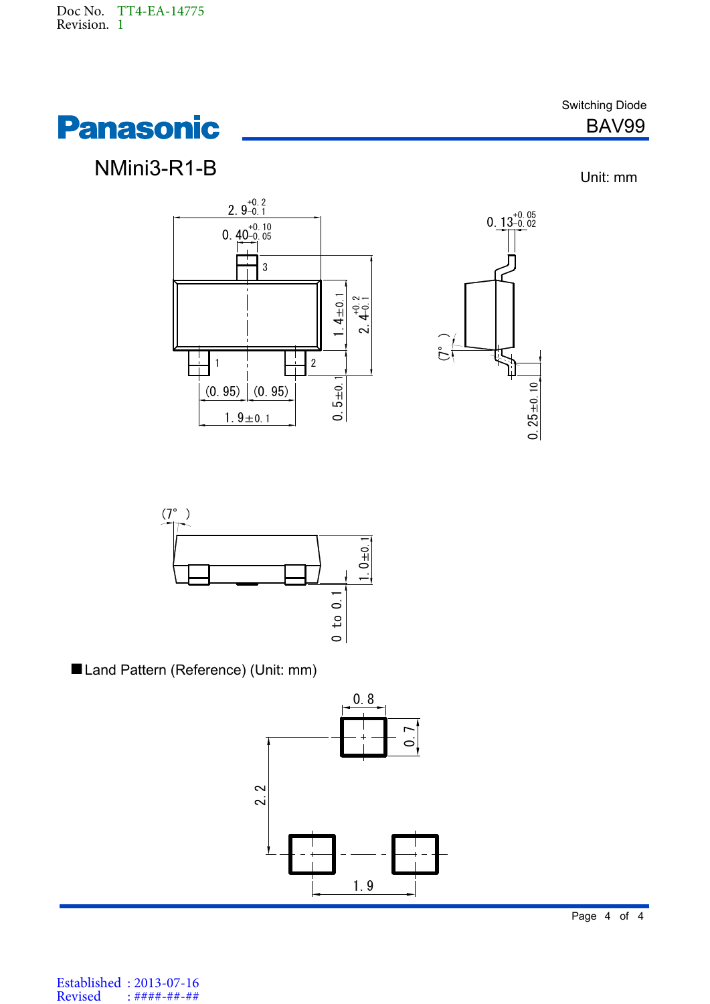

NMini3-R1-B

Switching Diode BAV99

Unit: mm







Land Pattern (Reference) (Unit: mm)



Established : 2013-07-16 Revised : ####-##-##